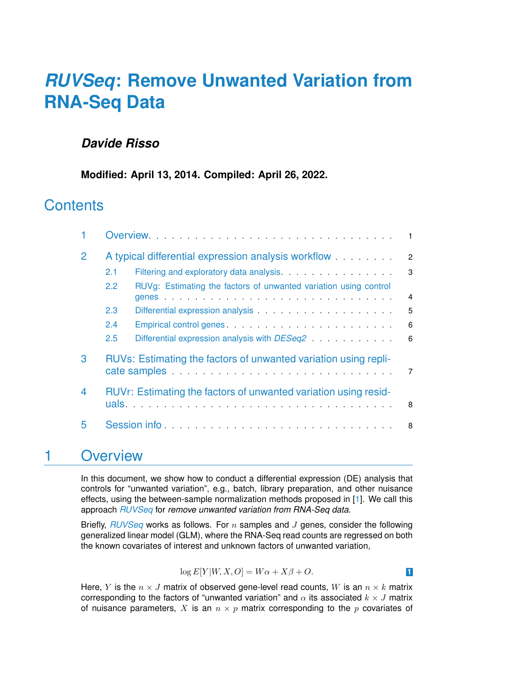# *[RUVSeq](http://bioconductor.org/packages/RUVSeq)***: Remove Unwanted Variation from RNA-Seq Data**

#### *Davide Risso*

**Modified: April 13, 2014. Compiled: April 26, 2022.**

### **Contents**

| $\mathcal P$ | A typical differential expression analysis workflow             |                                                                              |                |  |  |  |  |
|--------------|-----------------------------------------------------------------|------------------------------------------------------------------------------|----------------|--|--|--|--|
|              | 2.1                                                             |                                                                              | 3              |  |  |  |  |
|              | 2.2                                                             | RUVg: Estimating the factors of unwanted variation using control             | $\overline{4}$ |  |  |  |  |
|              | 2.3                                                             |                                                                              | 5              |  |  |  |  |
|              | 2.4                                                             |                                                                              | 6              |  |  |  |  |
|              | 2.5                                                             | Differential expression analysis with DESeq2 expression analysis with DESeq2 | 6              |  |  |  |  |
| 3            | RUVs: Estimating the factors of unwanted variation using repli- |                                                                              |                |  |  |  |  |
| 4            | RUVr: Estimating the factors of unwanted variation using resid- |                                                                              |                |  |  |  |  |
| 5            |                                                                 | Session info                                                                 | 8              |  |  |  |  |

### <span id="page-0-0"></span>1 Overview

In this document, we show how to conduct a differential expression (DE) analysis that controls for "unwanted variation", e.g., batch, library preparation, and other nuisance effects, using the between-sample normalization methods proposed in [\[1\]](#page-8-0). We call this approach *[RUVSeq](http://bioconductor.org/packages/RUVSeq)* for *remove unwanted variation from RNA-Seq data*.

<span id="page-0-1"></span>Briefly, *[RUVSeq](http://bioconductor.org/packages/RUVSeq)* works as follows. For n samples and J genes, consider the following generalized linear model (GLM), where the RNA-Seq read counts are regressed on both the known covariates of interest and unknown factors of unwanted variation,

$$
\log E[Y|W, X, O] = W\alpha + X\beta + O.
$$

Here, Y is the  $n \times J$  matrix of observed gene-level read counts, W is an  $n \times k$  matrix corresponding to the factors of "unwanted variation" and  $\alpha$  its associated  $k \times J$  matrix of nuisance parameters, X is an  $n \times p$  matrix corresponding to the p covariates of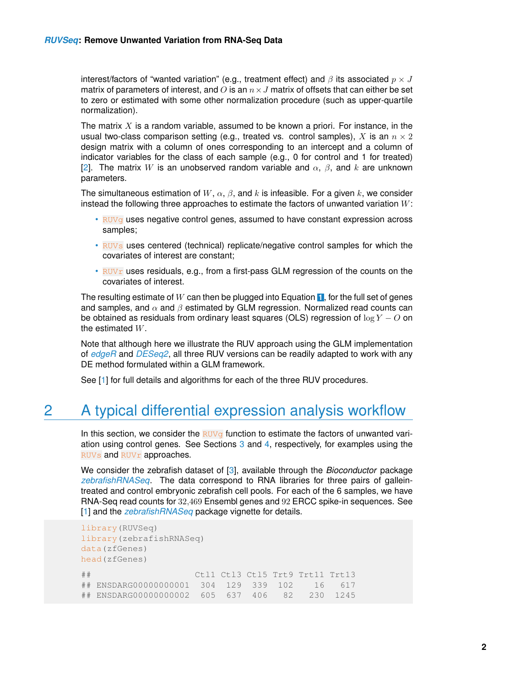interest/factors of "wanted variation" (e.g., treatment effect) and  $\beta$  its associated  $p \times J$ matrix of parameters of interest, and  $O$  is an  $n \times J$  matrix of offsets that can either be set to zero or estimated with some other normalization procedure (such as upper-quartile normalization).

The matrix  $X$  is a random variable, assumed to be known a priori. For instance, in the usual two-class comparison setting (e.g., treated vs. control samples), X is an  $n \times 2$ design matrix with a column of ones corresponding to an intercept and a column of indicator variables for the class of each sample (e.g., 0 for control and 1 for treated) [\[2\]](#page-8-1). The matrix W is an unobserved random variable and  $\alpha$ ,  $\beta$ , and k are unknown parameters.

The simultaneous estimation of  $W$ ,  $\alpha$ ,  $\beta$ , and k is infeasible. For a given k, we consider instead the following three approaches to estimate the factors of unwanted variation  $W$ :

- RUVg uses negative control genes, assumed to have constant expression across samples;
- RUVs uses centered (technical) replicate/negative control samples for which the covariates of interest are constant;
- RUV $r$  uses residuals, e.g., from a first-pass GLM regression of the counts on the covariates of interest.

The resulting estimate of W can then be plugged into Equation **[1](#page-0-1)** , for the full set of genes and samples, and  $\alpha$  and  $\beta$  estimated by GLM regression. Normalized read counts can be obtained as residuals from ordinary least squares (OLS) regression of  $\log Y - Q$  on the estimated W.

Note that although here we illustrate the RUV approach using the GLM implementation of *[edgeR](http://bioconductor.org/packages/edgeR)* and *[DESeq2](http://bioconductor.org/packages/DESeq2)*, all three RUV versions can be readily adapted to work with any DE method formulated within a GLM framework.

<span id="page-1-0"></span>See [\[1\]](#page-8-0) for full details and algorithms for each of the three RUV procedures.

## 2 A typical differential expression analysis workflow

In this section, we consider the  $RUV<sub>g</sub>$  function to estimate the factors of unwanted variation using control genes. See Sections [3](#page-6-0) and [4,](#page-6-1) respectively, for examples using the RUVs and RUVr approaches.

We consider the zebrafish dataset of [\[3\]](#page-8-2), available through the *Bioconductor* package *[zebrafishRNASeq](http://bioconductor.org/packages/zebrafishRNASeq)*. The data correspond to RNA libraries for three pairs of galleintreated and control embryonic zebrafish cell pools. For each of the 6 samples, we have RNA-Seq read counts for 32,469 Ensembl genes and 92 ERCC spike-in sequences. See [\[1\]](#page-8-0) and the *[zebrafishRNASeq](http://bioconductor.org/packages/zebrafishRNASeq)* package vignette for details.

```
library(RUVSeq)
library(zebrafishRNASeq)
data(zfGenes)
head(zfGenes)
## Ctl1 Ctl3 Ctl5 Trt9 Trt11 Trt13
## ENSDARG00000000001 304 129 339 102 16 617
## ENSDARG00000000002 605 637 406 82 230 1245
```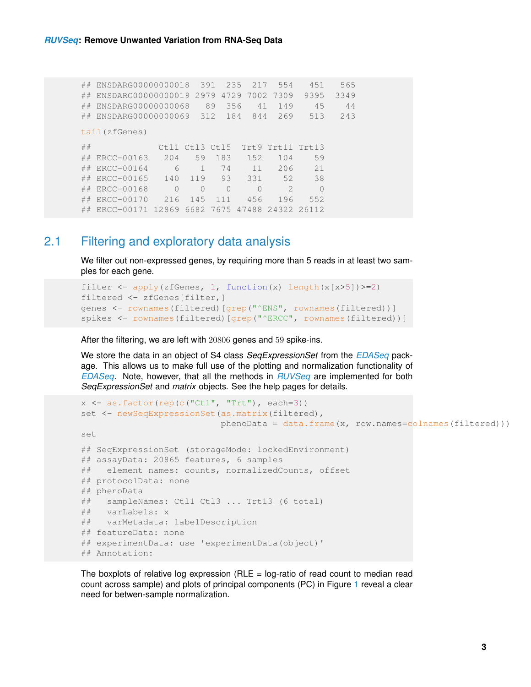| ##            | ENSDARG00000000018 |          | 391       |           | 235<br>217 | 554           | 451       | 565  |  |  |  |  |
|---------------|--------------------|----------|-----------|-----------|------------|---------------|-----------|------|--|--|--|--|
| ##            | ENSDARG00000000019 |          | 2979      | 4729      | 7002       | 7309          | 9395      | 3349 |  |  |  |  |
| ##            | ENSDARG00000000068 |          |           | 89        | 356<br>41  | 149           | 45        | 44   |  |  |  |  |
| ##            | ENSDARG00000000069 |          | 312       |           | 184<br>844 | 269           | 513       | 243  |  |  |  |  |
| tail(zfGenes) |                    |          |           |           |            |               |           |      |  |  |  |  |
| ##            |                    | Ct.11    | Ctl3 Ctl5 |           | Trt.9      | Trt11         | Trt13     |      |  |  |  |  |
| ##            | ERCC-00163         | 204      | 59        | 183       | 152        | 104           | 59        |      |  |  |  |  |
| ##            | ERCC-00164         | 6        | 1         | 74        | 11         | 206           | 21        |      |  |  |  |  |
| ##            | ERCC-00165         | 140      | 119       | 93        | 331        | 52            | 38        |      |  |  |  |  |
| ##            | ERCC-00168         | $\Omega$ | $\bigcap$ | $\bigcap$ | $\bigcap$  | $\mathcal{D}$ | $\bigcap$ |      |  |  |  |  |
| ##            | ERCC-00170         | 216      | 145       | 111       | 456        | 196           | 552       |      |  |  |  |  |
| ##            | ERCC-00171 12869   |          |           | 6682 7675 | 47488      | 24322 26112   |           |      |  |  |  |  |

#### 2.1 Filtering and exploratory data analysis

<span id="page-2-0"></span>We filter out non-expressed genes, by requiring more than 5 reads in at least two samples for each gene.

```
filter \leftarrow apply(zfGenes, 1, function(x) length(x[x>5])>=2)
filtered <- zfGenes[filter,]
genes <- rownames(filtered)[grep("^ENS", rownames(filtered))]
spikes <- rownames(filtered)[grep("^ERCC", rownames(filtered))]
```
After the filtering, we are left with 20806 genes and 59 spike-ins.

We store the data in an object of S4 class *SeqExpressionSet* from the *[EDASeq](http://bioconductor.org/packages/EDASeq)* package. This allows us to make full use of the plotting and normalization functionality of *[EDASeq](http://bioconductor.org/packages/EDASeq)*. Note, however, that all the methods in *[RUVSeq](http://bioconductor.org/packages/RUVSeq)* are implemented for both *SeqExpressionSet* and *matrix* objects. See the help pages for details.

```
x \leftarrow as.factor(rep(c("Ctl", "Trt"), each=3))set <- newSeqExpressionSet(as.matrix(filtered),
                           phenobata = data.frame(x, row.name = colnames(filtered)))set
## SeqExpressionSet (storageMode: lockedEnvironment)
## assayData: 20865 features, 6 samples
## element names: counts, normalizedCounts, offset
## protocolData: none
## phenoData
## sampleNames: Ctl1 Ctl3 ... Trt13 (6 total)
## varLabels: x
## varMetadata: labelDescription
## featureData: none
## experimentData: use 'experimentData(object)'
## Annotation:
```
The boxplots of relative log expression ( $RLE = log$ -ratio of read count to median read count across sample) and plots of principal components (PC) in Figure [1](#page-3-1) reveal a clear need for betwen-sample normalization.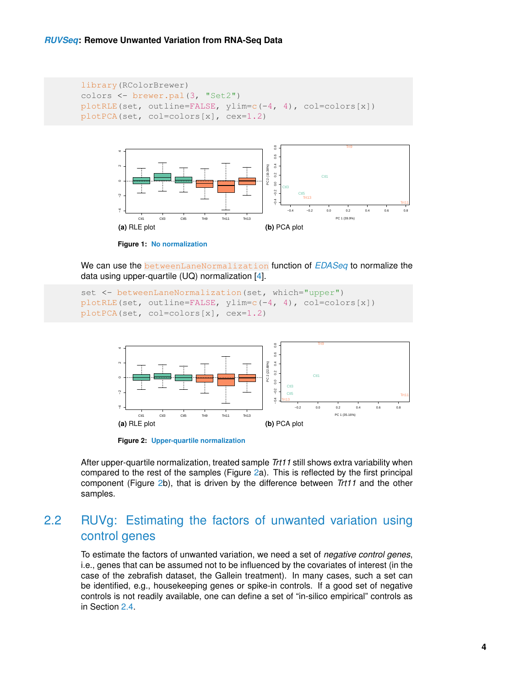```
library(RColorBrewer)
colors <- brewer.pal(3, "Set2")
plotRLE(set, outline=FALSE, ylim=c(-4, 4), col=colors[x])
plotPCA(set, col=colors[x], cex=1.2)
```
<span id="page-3-1"></span>

**Figure 1: No normalization**

We can use the betweenLaneNormalization function of *[EDASeq](http://bioconductor.org/packages/EDASeq)* to normalize the data using upper-quartile (UQ) normalization [\[4\]](#page-8-3).

```
set <- betweenLaneNormalization(set, which="upper")
plotRLE(set, outline=FALSE, ylim=c(-4, 4), col=colors[x])
plotPCA(set, col=colors[x], cex=1.2)
```
<span id="page-3-2"></span>

**Figure 2: Upper-quartile normalization**

<span id="page-3-0"></span>After upper-quartile normalization, treated sample *Trt11* still shows extra variability when compared to the rest of the samples (Figure [2a](#page-3-2)). This is reflected by the first principal component (Figure [2b](#page-3-2)), that is driven by the difference between *Trt11* and the other samples.

#### 2.2 RUVg: Estimating the factors of unwanted variation using control genes

To estimate the factors of unwanted variation, we need a set of *negative control genes*, i.e., genes that can be assumed not to be influenced by the covariates of interest (in the case of the zebrafish dataset, the Gallein treatment). In many cases, such a set can be identified, e.g., housekeeping genes or spike-in controls. If a good set of negative controls is not readily available, one can define a set of "in-silico empirical" controls as in Section [2.4.](#page-5-0)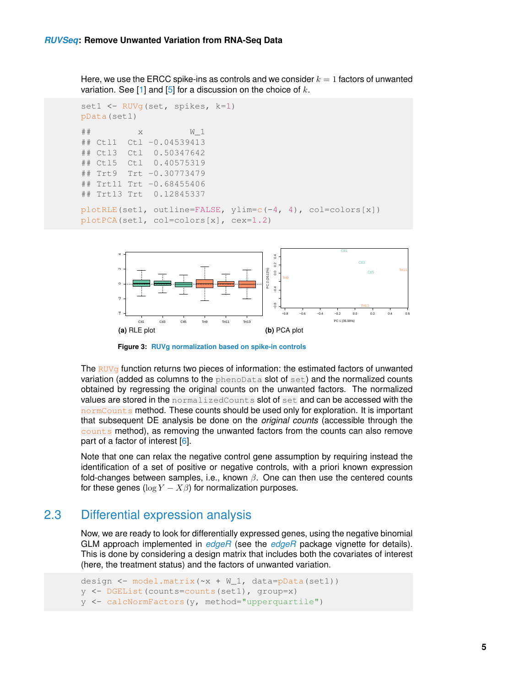Here, we use the ERCC spike-ins as controls and we consider  $k = 1$  factors of unwanted variation. See  $[1]$  and  $[5]$  for a discussion on the choice of  $k$ .

```
set1 <- RUVg(set, spikes, k=1)
pData(set1)
\# \# x W_1
## Ctl1 Ctl -0.04539413
## Ctl3 Ctl 0.50347642
## Ctl5 Ctl 0.40575319
## Trt9 Trt -0.30773479
## Trt11 Trt -0.68455406
## Trt13 Trt 0.12845337
plotRLE(set1, outline=FALSE, ylim=c(-4, 4), col=colors[x])
plotPCA(set1, col=colors[x], cex=1.2)
```


**Figure 3: RUVg normalization based on spike-in controls**

The  $RUV_{\sigma}$  function returns two pieces of information: the estimated factors of unwanted variation (added as columns to the phenoData slot of set) and the normalized counts obtained by regressing the original counts on the unwanted factors. The normalized values are stored in the normalizedCounts slot of set and can be accessed with the normCounts method. These counts should be used only for exploration. It is important that subsequent DE analysis be done on the *original counts* (accessible through the counts method), as removing the unwanted factors from the counts can also remove part of a factor of interest [\[6\]](#page-8-5).

Note that one can relax the negative control gene assumption by requiring instead the identification of a set of positive or negative controls, with a priori known expression fold-changes between samples, i.e., known  $\beta$ . One can then use the centered counts for these genes ( $\log Y - X\beta$ ) for normalization purposes.

#### 2.3 Differential expression analysis

<span id="page-4-0"></span>Now, we are ready to look for differentially expressed genes, using the negative binomial GLM approach implemented in *[edgeR](http://bioconductor.org/packages/edgeR)* (see the *[edgeR](http://bioconductor.org/packages/edgeR)* package vignette for details). This is done by considering a design matrix that includes both the covariates of interest (here, the treatment status) and the factors of unwanted variation.

```
design \leq model.matrix(\leq + W_1, data=pData(set1))
y <- DGEList(counts=counts(set1), group=x)
y <- calcNormFactors(y, method="upperquartile")
```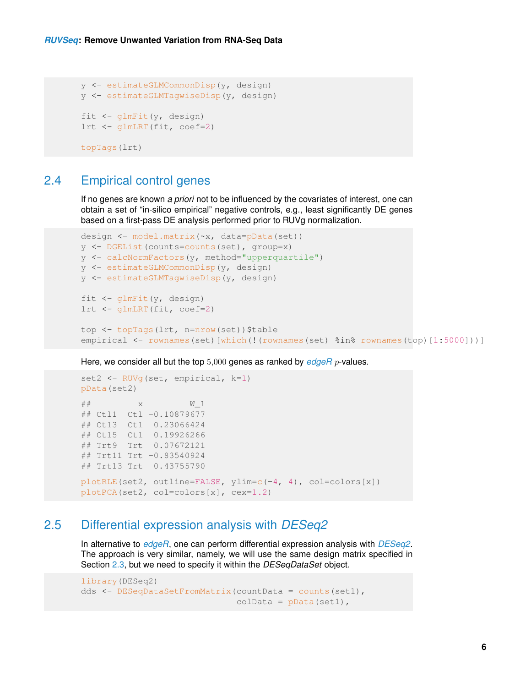```
y <- estimateGLMCommonDisp(y, design)
y <- estimateGLMTagwiseDisp(y, design)
fit \leftarrow qlmFit(y, design)
lrt <- glmLRT(fit, coef=2)
topTags(lrt)
```
#### 2.4 Empirical control genes

<span id="page-5-0"></span>If no genes are known *a priori* not to be influenced by the covariates of interest, one can obtain a set of "in-silico empirical" negative controls, e.g., least significantly DE genes based on a first-pass DE analysis performed prior to RUVg normalization.

```
design <- model.matrix(~x, data=pData(set))
y <- DGEList(counts=counts(set), group=x)
y <- calcNormFactors(y, method="upperquartile")
y <- estimateGLMCommonDisp(y, design)
y <- estimateGLMTagwiseDisp(y, design)
fit <- glmFit(y, design)
lrt <- glmLRT(fit, coef=2)
top <- topTags(lrt, n=nrow(set))$table
empirical <- rownames(set)[which(!(rownames(set) %in% rownames(top)[1:5000])]]
```
Here, we consider all but the top 5,000 genes as ranked by *[edgeR](http://bioconductor.org/packages/edgeR)* p-values.

```
set2 <- RUVq(set, empirical, k=1)
pData(set2)
\# # \# \qquad \qquad \qquad \qquad \qquad \qquad \qquad \qquad \qquad \qquad \qquad \qquad \qquad \qquad \qquad \qquad \qquad \qquad \qquad \qquad \qquad \qquad \qquad \qquad \qquad \qquad \qquad \qquad \qquad \qquad \qquad \qquad \qquad \qquad \qquad## Ctl1 Ctl -0.10879677
## Ctl3 Ctl 0.23066424
## Ctl5 Ctl 0.19926266
## Trt9 Trt 0.07672121
## Trt11 Trt -0.83540924
## Trt13 Trt 0.43755790
plotRLE(set2, outline=FALSE, ylim=c(-4, 4), col=colors[x])
plotPCA(set2, col=colors[x], cex=1.2)
```
#### 2.5 Differential expression analysis with *[DESeq2](http://bioconductor.org/packages/DESeq2)*

<span id="page-5-1"></span>In alternative to *[edgeR](http://bioconductor.org/packages/edgeR)*, one can perform differential expression analysis with *[DESeq2](http://bioconductor.org/packages/DESeq2)*. The approach is very similar, namely, we will use the same design matrix specified in Section [2.3,](#page-4-0) but we need to specify it within the *DESeqDataSet* object.

```
library(DESeq2)
dds <- DESeqDataSetFromMatrix(countData = counts(set1),
                              colData = pData(set1),
```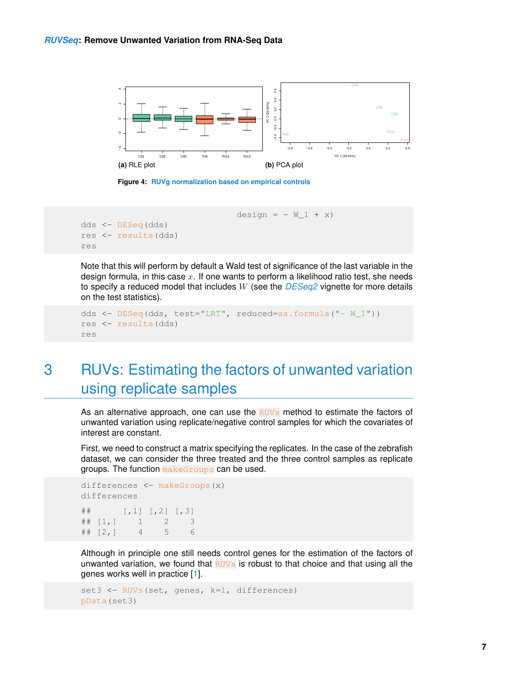

**Figure 4: RUVg normalization based on empirical controls**

design =  $~\sim~$  W\_1 + x)

```
dds <- DESeq(dds)
res <- results(dds)
res
```
Note that this will perform by default a Wald test of significance of the last variable in the design formula, in this case  $x$ . If one wants to perform a likelihood ratio test, she needs to specify a reduced model that includes W (see the *[DESeq2](http://bioconductor.org/packages/DESeq2)* vignette for more details on the test statistics).

```
dds \leq DESeq(dds, test="LRT", reduced=as.formula("\sim W 1"))
res <- results(dds)
res
```
## 3 RUVs: Estimating the factors of unwanted variation using replicate samples

As an alternative approach, one can use the  $RUVs$  method to estimate the factors of unwanted variation using replicate/negative control samples for which the covariates of interest are constant.

First, we need to construct a matrix specifying the replicates. In the case of the zebrafish dataset, we can consider the three treated and the three control samples as replicate groups. The function makeGroups can be used.

```
differences <- makeGroups(x)
differences
\# [, 1] [, 2] [, 3]
\# [1, 1 1 2 3## [2,] 4 5 6
```
Although in principle one still needs control genes for the estimation of the factors of unwanted variation, we found that  $RUVs$  is robust to that choice and that using all the genes works well in practice [\[1\]](#page-8-0).

```
set3 <- RUVs(set, genes, k=1, differences)
pData(set3)
```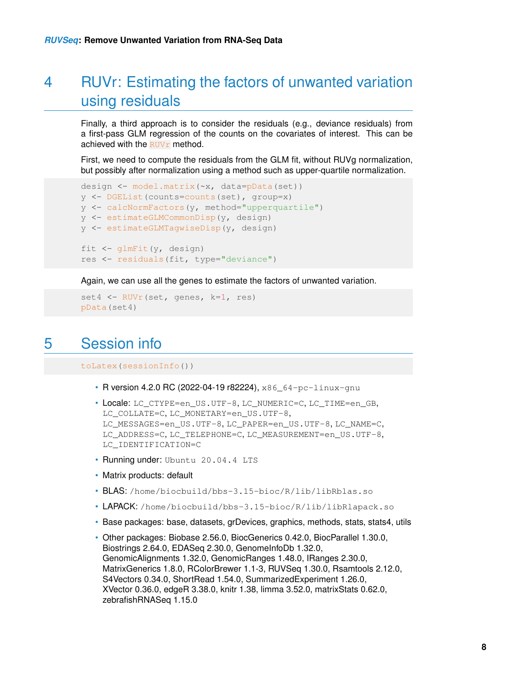## 4 RUVr: Estimating the factors of unwanted variation using residuals

Finally, a third approach is to consider the residuals (e.g., deviance residuals) from a first-pass GLM regression of the counts on the covariates of interest. This can be achieved with the  $RUVr$  method.

First, we need to compute the residuals from the GLM fit, without RUVg normalization, but possibly after normalization using a method such as upper-quartile normalization.

```
design <- model.matrix(~x, data=pData(set))
y <- DGEList(counts=counts(set), group=x)
y <- calcNormFactors(y, method="upperquartile")
y <- estimateGLMCommonDisp(y, design)
y <- estimateGLMTagwiseDisp(y, design)
fit <- glmFit(y, design)
res <- residuals(fit, type="deviance")
```
Again, we can use all the genes to estimate the factors of unwanted variation.

```
set4 <- RUVr(set, genes, k=1, res)
pData(set4)
```
### 5 Session info

toLatex(sessionInfo())

- R version 4.2.0 RC (2022-04-19 r82224),  $x86$  64-pc-linux-gnu
- Locale: LC\_CTYPE=en\_US.UTF-8, LC\_NUMERIC=C, LC\_TIME=en\_GB, LC\_COLLATE=C, LC\_MONETARY=en\_US.UTF-8, LC\_MESSAGES=en\_US.UTF-8, LC\_PAPER=en\_US.UTF-8, LC\_NAME=C, LC\_ADDRESS=C, LC\_TELEPHONE=C, LC\_MEASUREMENT=en\_US.UTF-8, LC\_IDENTIFICATION=C
- Running under: Ubuntu 20.04.4 LTS
- Matrix products: default
- BLAS: /home/biocbuild/bbs-3.15-bioc/R/lib/libRblas.so
- LAPACK: /home/biocbuild/bbs-3.15-bioc/R/lib/libRlapack.so
- Base packages: base, datasets, grDevices, graphics, methods, stats, stats4, utils
- Other packages: Biobase 2.56.0, BiocGenerics 0.42.0, BiocParallel 1.30.0, Biostrings 2.64.0, EDASeq 2.30.0, GenomeInfoDb 1.32.0, GenomicAlignments 1.32.0, GenomicRanges 1.48.0, IRanges 2.30.0, MatrixGenerics 1.8.0, RColorBrewer 1.1-3, RUVSeq 1.30.0, Rsamtools 2.12.0, S4Vectors 0.34.0, ShortRead 1.54.0, SummarizedExperiment 1.26.0, XVector 0.36.0, edgeR 3.38.0, knitr 1.38, limma 3.52.0, matrixStats 0.62.0, zebrafishRNASeq 1.15.0